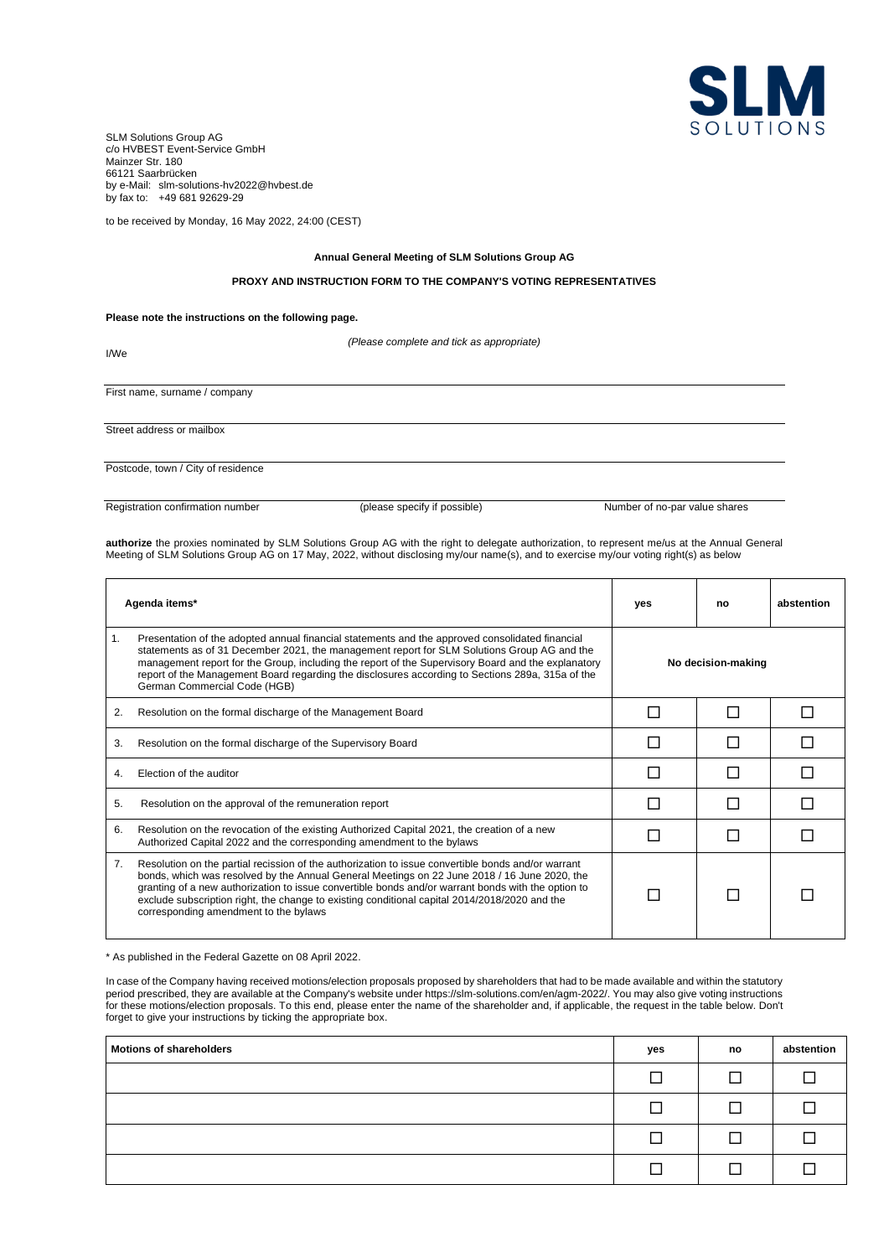

SLM Solutions Group AG c/o HVBEST Event-Service GmbH Mainzer Str. 180 66121 Saarbrücken by e-Mail: slm-solutions-hv2022@hvbest.de by fax to: +49 681 92629-29

to be received by Monday, 16 May 2022, 24:00 (CEST)

# **Annual General Meeting of SLM Solutions Group AG**

# **PROXY AND INSTRUCTION FORM TO THE COMPANY'S VOTING REPRESENTATIVES**

*(Please complete and tick as appropriate)*

## **Please note the instructions on the following page.**

I/We First name, surname / company Street address or mailbox Postcode, town / City of residence

Registration confirmation number (please specify if possible) Number of no-par value shares

**authorize** the proxies nominated by SLM Solutions Group AG with the right to delegate authorization, to represent me/us at the Annual General Meeting of SLM Solutions Group AG on 17 May, 2022, without disclosing my/our name(s), and to exercise my/our voting right(s) as below

| Agenda items* |                                                                                                                                                                                                                                                                                                                                                                                                                                                    | yes                | no | abstention |
|---------------|----------------------------------------------------------------------------------------------------------------------------------------------------------------------------------------------------------------------------------------------------------------------------------------------------------------------------------------------------------------------------------------------------------------------------------------------------|--------------------|----|------------|
| 1.            | Presentation of the adopted annual financial statements and the approved consolidated financial<br>statements as of 31 December 2021, the management report for SLM Solutions Group AG and the<br>management report for the Group, including the report of the Supervisory Board and the explanatory<br>report of the Management Board regarding the disclosures according to Sections 289a, 315a of the<br>German Commercial Code (HGB)           | No decision-making |    |            |
| 2.            | Resolution on the formal discharge of the Management Board                                                                                                                                                                                                                                                                                                                                                                                         |                    |    |            |
| 3.            | Resolution on the formal discharge of the Supervisory Board                                                                                                                                                                                                                                                                                                                                                                                        |                    |    |            |
| 4.            | Election of the auditor                                                                                                                                                                                                                                                                                                                                                                                                                            |                    |    |            |
| 5.            | Resolution on the approval of the remuneration report                                                                                                                                                                                                                                                                                                                                                                                              |                    |    |            |
| 6.            | Resolution on the revocation of the existing Authorized Capital 2021, the creation of a new<br>Authorized Capital 2022 and the corresponding amendment to the bylaws                                                                                                                                                                                                                                                                               |                    |    |            |
| 7.            | Resolution on the partial recission of the authorization to issue convertible bonds and/or warrant<br>bonds, which was resolved by the Annual General Meetings on 22 June 2018 / 16 June 2020, the<br>granting of a new authorization to issue convertible bonds and/or warrant bonds with the option to<br>exclude subscription right, the change to existing conditional capital 2014/2018/2020 and the<br>corresponding amendment to the bylaws |                    |    |            |

\* As published in the Federal Gazette on 08 April 2022.

In case of the Company having received motions/election proposals proposed by shareholders that had to be made available and within the statutory period prescribed, they are available at the Company's website under https://slm-solutions.com/en/agm-2022/. You may also give voting instructions for these motions/election proposals. To this end, please enter the name of the shareholder and, if applicable, the request in the table below. Don't forget to give your instructions by ticking the appropriate box.

| <b>Motions of shareholders</b> |               | no | abstention |
|--------------------------------|---------------|----|------------|
|                                |               |    |            |
|                                |               |    |            |
|                                |               |    |            |
|                                | <b>Tallet</b> |    |            |